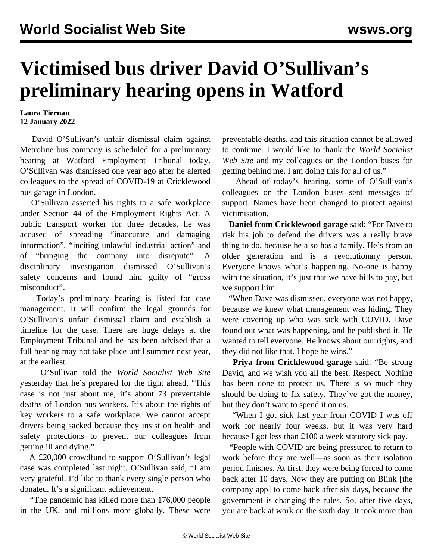## **Victimised bus driver David O'Sullivan's preliminary hearing opens in Watford**

## **Laura Tiernan 12 January 2022**

 David O'Sullivan's unfair dismissal claim against Metroline bus company is scheduled for a preliminary hearing at Watford Employment Tribunal today. O'Sullivan was dismissed one year ago after he alerted colleagues to the spread of COVID-19 at Cricklewood bus garage in London.

 O'Sullivan asserted his rights to a safe workplace under Section 44 of the Employment Rights Act. A public transport worker for three decades, he was accused of spreading "inaccurate and damaging information", "inciting unlawful industrial action" and of "bringing the company into disrepute". A disciplinary investigation dismissed O'Sullivan's safety concerns and found him guilty of "gross misconduct".

 Today's preliminary hearing is listed for case management. It will confirm the legal grounds for O'Sullivan's unfair dismissal claim and establish a timeline for the case. There are huge delays at the Employment Tribunal and he has been advised that a full hearing may not take place until summer next year, at the earliest.

 O'Sullivan told the *World Socialist Web Site* yesterday that he's prepared for the fight ahead, "This case is not just about me, it's about 73 preventable deaths of London bus workers. It's about the rights of key workers to a safe workplace. We cannot accept drivers being sacked because they insist on health and safety protections to prevent our colleagues from getting ill and dying."

 A £20,000 crowdfund to support O'Sullivan's legal case was completed last night. O'Sullivan said, "I am very grateful. I'd like to thank every single person who donated. It's a significant achievement.

 "The pandemic has killed more than 176,000 people in the UK, and millions more globally. These were preventable deaths, and this situation cannot be allowed to continue. I would like to thank the *World Socialist Web Site* and my colleagues on the London buses for getting behind me. I am doing this for all of us."

 Ahead of today's hearing, some of O'Sullivan's colleagues on the London buses sent messages of support. Names have been changed to protect against victimisation.

 **Daniel from Cricklewood garage** said: "For Dave to risk his job to defend the drivers was a really brave thing to do, because he also has a family. He's from an older generation and is a revolutionary person. Everyone knows what's happening. No-one is happy with the situation, it's just that we have bills to pay, but we support him.

 "When Dave was dismissed, everyone was not happy, because we knew what management was hiding. They were covering up who was sick with COVID. Dave found out what was happening, and he published it. He wanted to tell everyone. He knows about our rights, and they did not like that. I hope he wins."

 **Priya from Cricklewood garage** said: "Be strong David, and we wish you all the best. Respect. Nothing has been done to protect us. There is so much they should be doing to fix safety. They've got the money, but they don't want to spend it on us.

 "When I got sick last year from COVID I was off work for nearly four weeks, but it was very hard because I got less than £100 a week statutory sick pay.

 "People with COVID are being pressured to return to work before they are well—as soon as their isolation period finishes. At first, they were being forced to come back after 10 days. Now they are putting on Blink [the company app] to come back after six days, because the government is changing the rules. So, after five days, you are back at work on the sixth day. It took more than